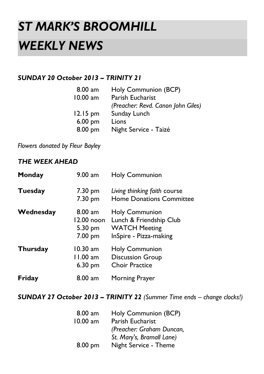# *ST MARK'S BROOMHILL WEEKLY NEWS*

# *SUNDAY 20 October 2013 – TRINITY 21*

| $8.00 a$ m | Holy Communion (BCP)               |
|------------|------------------------------------|
| 10.00 am   | Parish Eucharist                   |
|            | (Preacher: Revd. Canon John Giles) |
| $12.15$ pm | Sunday Lunch                       |
| 6.00 pm    | Lions                              |
| 8.00 pm    | Night Service - Taizé              |

*Flowers donated by Fleur Bayley*

# *THE WEEK AHEAD*

| Monday          | $9.00$ am                                     | <b>Holy Communion</b>                                                                              |
|-----------------|-----------------------------------------------|----------------------------------------------------------------------------------------------------|
| <b>Tuesday</b>  | 7.30 pm<br>7.30 pm                            | Living thinking faith course<br><b>Home Donations Committee</b>                                    |
| Wednesday       | $8.00$ am<br>12.00 noon<br>5.30 pm<br>7.00 pm | <b>Holy Communion</b><br>Lunch & Friendship Club<br><b>WATCH Meeting</b><br>InSpire - Pizza-making |
| <b>Thursday</b> | 10.30 am<br>11.00 am<br>$6.30 \text{ pm}$     | <b>Holy Communion</b><br><b>Discussion Group</b><br><b>Choir Practice</b>                          |
| Friday          | $8.00 a$ m                                    | Morning Prayer                                                                                     |

*SUNDAY 27 October 2013 – TRINITY 22 (Summer Time ends – change clocks!)*

| $8.00 a$ m | Holy Communion (BCP)      |  |
|------------|---------------------------|--|
| 10.00 am   | Parish Eucharist          |  |
|            | (Preacher: Graham Duncan, |  |
|            | St. Mary's, Bramall Lane) |  |
| $8.00$ pm  | Night Service - Theme     |  |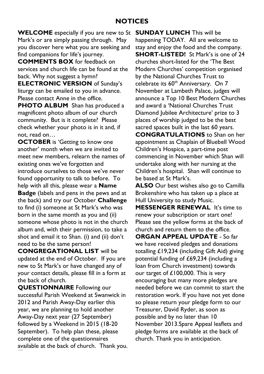### **NOTICES**

**WELCOME** especially if you are new to St Mark's or are simply passing through. May you discover here what you are seeking and find companions for life's journey.

**COMMENTS BOX** for feedback on services and church life can be found at the back. Why not suggest a hymn?

**ELECTRONIC VERSION** of Sunday's liturgy can be emailed to you in advance. Please contact Anne in the office.

**PHOTO ALBUM** Shan has produced a magnificent photo album of our church community. But is it complete? Please check whether your photo is in it and, if not, read on…

**OCTOBER** is 'Getting to know one another' month when we are invited to meet new members, relearn the names of existing ones we've forgotten and introduce ourselves to those we've never found opportunity to talk to before. To help with all this, please wear a **Name Badge** (labels and pens in the pews and at the back) and try our October **Challenge** to find (i) someone at St Mark's who was born in the same month as you and (ii) someone whose photo is not in the church album and, with their permission, to take a shot and email it to Shan. (i) and (ii) don't need to be the same person!

**CONGREGATIONAL LIST** will be updated at the end of October. If you are new to St Mark's or have changed any of your contact details, please fill in a form at the back of church.

**QUESTIONNAIRE** Following our successful Parish Weekend at Swanwick in 2012 and Parish Away-Day earlier this year, we are planning to hold another Away-Day next year (27 September) followed by a Weekend in 2015 (18-20 September). To help plan these, please complete one of the questionnaires available at the back of church. Thank you. **SUNDAY LUNCH** This will be happening TODAY. All are welcome to stay and enjoy the food and the company. **SHORT-LISTED!** St Mark's is one of 24 churches short-listed for the 'The Best Modern Churches' competition organised by the National Churches Trust to celebrate its 60<sup>th</sup> Anniversary. On 7 November at Lambeth Palace, judges will announce a Top 10 Best Modern Churches and award a 'National Churches Trust Diamond Jubilee Architecture' prize to 3 places of worship judged to be the best sacred spaces built in the last 60 years. **CONGRATULATIONS** to Shan on her appointment as Chaplain of Bluebell Wood Children's Hospice, a part-time post commencing in November which Shan will undertake along with her nursing at the Children's hospital. Shan will continue to be based at St Mark's.

**ALSO** Our best wishes also go to Camilla Brokenshire who has taken up a place at Hull University to study Music.

**MESSENGER RENEWAL** It's time to renew your subscription or start one! Please see the yellow forms at the back of church and return them to the office.

**ORGAN APPEAL UPDATE** - So far we have received pledges and donations totalling £19,234 (including Gift Aid) giving potential funding of £69,234 (including a loan from Church investment) towards our target of £100,000. This is very encouraging but many more pledges are needed before we can commit to start the restoration work. If you have not yet done so please return your pledge form to our Treasurer, David Ryder, as soon as possible and by no later than 10 November 2013.Spare Appeal leaflets and pledge forms are available at the back of church. Thank you in anticipation.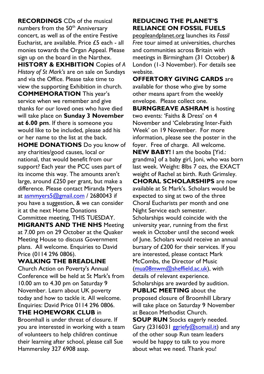**RECORDINGS** CDs of the musical numbers from the 50<sup>th</sup> Anniversary concert, as well as of the entire Festive Eucharist, are available. Price  $f5$  each - all monies towards the Organ Appeal. Please sign up on the board in the Narthex.

**HISTORY & EXHBITION** Copies of *A History of St Mark's* are on sale on Sundays and via the Office. Please take time to view the supporting Exhibition in church. **COMMEMORATION** This year's service when we remember and give thanks for our loved ones who have died will take place on **Sunday 3 November at 6.00 pm**. If there is someone you would like to be included, please add his or her name to the list at the back.

**HOME DONATIONS** Do you know of any charities/good causes, local or national, that would benefit from our support? Each year the PCC uses part of its income this way. The amounts aren't large, around £250 per grant, but make a difference. Please contact Miranda Myers at [asmmyers5@gmail.com](mailto:asmmyers5@gmail.com) / 2680043 if you have a suggestion, & we can consider it at the next Home Donations Committee meeting, THIS TUESDAY. **MIGRANTS AND THE NHS** Meeting at 7.00 pm on 29 October at the Quaker Meeting House to discuss Government plans. All welcome. Enquiries to David Price (0114 296 0806).

#### WAI KING THE BREADLINE

Church Action on Poverty's Annual Conference will be held at St Mark's from 10.00 am to 4.30 pm on Saturday 9 November. Learn about UK poverty today and how to tackle it. All welcome. Enquiries: David Price 0114 296 0806.

## **THE HOMEWORK CLUB** in

Broomhall is under threat of closure. If you are interested in working with a team of volunteers to help children continue their learning after school, please call Sue Hammersley 327 6908 asap.

## **REDUCING THE PLANET'S RELIANCE ON FOSSIL FUELS**

peopleandplanet.org launches its *Fossil Free* tour aimed at universities, churches and communities across Britain with meetings in Birmingham (31 October) & London (1-3 November). For details see website.

**OFFERTORY GIVING CARDS** are available for those who give by some other means apart from the weekly envelope. Please collect one.

**BURNGREAVE ASHRAM** is hosting two events: 'Faiths & Dress' on 4 November and 'Celebrating Inter-Faith Week' on 19 November. For more information, please see the poster in the foyer. Free of charge. All welcome.

**NEW BABY!** I am the booba [Yid.: grandma] of a baby girl, Joni, who was born last week. Weight: 8lbs 7 ozs, the EXACT weight of Rachel at birth. Ruth Grimsley. **CHORAL SCHOLARSHIPS** are now available at St Mark's. Scholars would be expected to sing at two of the three Choral Eucharists per month and one Night Service each semester.

Scholarships would coincide with the university year, running from the first week in October until the second week of June. Scholars would receive an annual bursary of £200 for their services. If you are interested, please contact Mark McCombs, the Director of Music [\(mua08mwm@sheffield.ac.uk\)](mailto:mua08mwm@sheffield.ac.uk), with details of relevant experience. Scholarships are awarded by audition. **PUBLIC MEETING** about the proposed closure of Broomhill Library will take place on Saturday 9 November at Beacon Methodist Church. **SOUP RUN** Stocks eagerly needed. Gary (231603[1 ggriefy@somail.it\)](mailto:ggriefy@somail.it) and any

of the other soup Run team leaders would be happy to talk to you more about what we need. Thank you!